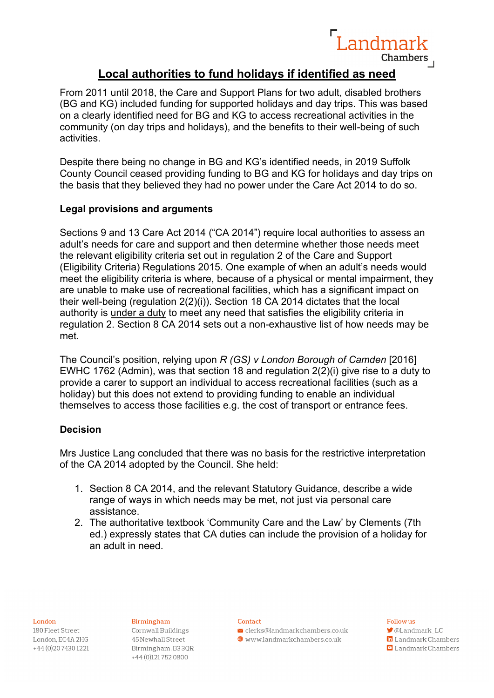

Landmar

From 2011 until 2018, the Care and Support Plans for two adult, disabled brothers (BG and KG) included funding for supported holidays and day trips. This was based on a clearly identified need for BG and KG to access recreational activities in the community (on day trips and holidays), and the benefits to their well-being of such activities.

Despite there being no change in BG and KG's identified needs, in 2019 Suffolk County Council ceased providing funding to BG and KG for holidays and day trips on the basis that they believed they had no power under the Care Act 2014 to do so.

# **Legal provisions and arguments**

Sections 9 and 13 Care Act 2014 ("CA 2014") require local authorities to assess an adult's needs for care and support and then determine whether those needs meet the relevant eligibility criteria set out in regulation 2 of the Care and Support (Eligibility Criteria) Regulations 2015. One example of when an adult's needs would meet the eligibility criteria is where, because of a physical or mental impairment, they are unable to make use of recreational facilities, which has a significant impact on their well-being (regulation 2(2)(i)). Section 18 CA 2014 dictates that the local authority is under a duty to meet any need that satisfies the eligibility criteria in regulation 2. Section 8 CA 2014 sets out a non-exhaustive list of how needs may be met.

The Council's position, relying upon *R (GS) v London Borough of Camden* [2016] EWHC 1762 (Admin), was that section 18 and regulation 2(2)(i) give rise to a duty to provide a carer to support an individual to access recreational facilities (such as a holiday) but this does not extend to providing funding to enable an individual themselves to access those facilities e.g. the cost of transport or entrance fees.

## **Decision**

Mrs Justice Lang concluded that there was no basis for the restrictive interpretation of the CA 2014 adopted by the Council. She held:

- 1. Section 8 CA 2014, and the relevant Statutory Guidance, describe a wide range of ways in which needs may be met, not just via personal care assistance.
- 2. The authoritative textbook 'Community Care and the Law' by Clements (7th ed.) expressly states that CA duties can include the provision of a holiday for an adult in need.

## London

180 Fleet Street London, EC4A 2HG +44 (0) 20 74 30 12 21

Birmingham Cornwall Buildings 45 Newhall Street Birmingham, B33QR +44 (0)1217520800

#### Contact

 $\vee$  clerks@landmarkchambers.co.uk  $\textcolor{blue}{\bigoplus}$  www.landmarkchambers.co.uk

### Follow us

**J** @Landmark\_LC in Landmark Chambers

**D** Landmark Chambers